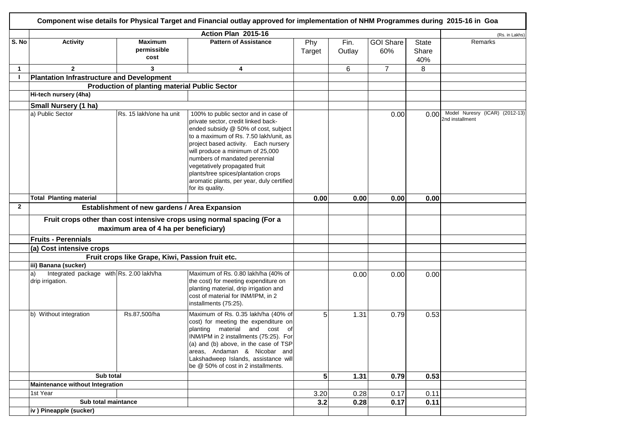| Component wise details for Physical Target and Financial outlay approved for implementation of NHM Programmes during 2015-16 in Goa |                                                                                                                  |                                                      |                                                                                                                                                                                                                                                                                                                                                                                                                     |                |                |                         |                              |                                                   |
|-------------------------------------------------------------------------------------------------------------------------------------|------------------------------------------------------------------------------------------------------------------|------------------------------------------------------|---------------------------------------------------------------------------------------------------------------------------------------------------------------------------------------------------------------------------------------------------------------------------------------------------------------------------------------------------------------------------------------------------------------------|----------------|----------------|-------------------------|------------------------------|---------------------------------------------------|
|                                                                                                                                     |                                                                                                                  |                                                      | Action Plan 2015-16                                                                                                                                                                                                                                                                                                                                                                                                 |                |                |                         |                              | (Rs. in Lakhs)                                    |
| S. No                                                                                                                               | <b>Activity</b>                                                                                                  | <b>Maximum</b><br>permissible<br>cost                | <b>Pattern of Assistance</b>                                                                                                                                                                                                                                                                                                                                                                                        | Phy<br>Target  | Fin.<br>Outlay | <b>GOI Share</b><br>60% | <b>State</b><br>Share<br>40% | Remarks                                           |
| $\mathbf{1}$                                                                                                                        | $\mathbf{2}$                                                                                                     | 3                                                    | 4                                                                                                                                                                                                                                                                                                                                                                                                                   |                | 6              | $\overline{7}$          | 8                            |                                                   |
| $\mathbf{I}$                                                                                                                        | <b>Plantation Infrastructure and Development</b>                                                                 |                                                      |                                                                                                                                                                                                                                                                                                                                                                                                                     |                |                |                         |                              |                                                   |
|                                                                                                                                     |                                                                                                                  | <b>Production of planting material Public Sector</b> |                                                                                                                                                                                                                                                                                                                                                                                                                     |                |                |                         |                              |                                                   |
|                                                                                                                                     | Hi-tech nursery (4ha)                                                                                            |                                                      |                                                                                                                                                                                                                                                                                                                                                                                                                     |                |                |                         |                              |                                                   |
|                                                                                                                                     | Small Nursery (1 ha)                                                                                             |                                                      |                                                                                                                                                                                                                                                                                                                                                                                                                     |                |                |                         |                              |                                                   |
|                                                                                                                                     | a) Public Sector                                                                                                 | Rs. 15 lakh/one ha unit                              | 100% to public sector and in case of<br>private sector, credit linked back-<br>ended subsidy @ 50% of cost, subject<br>to a maximum of Rs. 7.50 lakh/unit, as<br>project based activity. Each nursery<br>will produce a minimum of 25,000<br>numbers of mandated perennial<br>vegetatively propagated fruit<br>plants/tree spices/plantation crops<br>aromatic plants, per year, duly certified<br>for its quality. |                |                | 0.00                    | 0.00                         | Model Nuresry (ICAR) (2012-13)<br>2nd installment |
|                                                                                                                                     | <b>Total Planting material</b>                                                                                   |                                                      |                                                                                                                                                                                                                                                                                                                                                                                                                     | 0.00           | 0.00           | 0.00                    | 0.00                         |                                                   |
| $\mathbf{2}$                                                                                                                        |                                                                                                                  | Establishment of new gardens / Area Expansion        |                                                                                                                                                                                                                                                                                                                                                                                                                     |                |                |                         |                              |                                                   |
|                                                                                                                                     | Fruit crops other than cost intensive crops using normal spacing (For a<br>maximum area of 4 ha per beneficiary) |                                                      |                                                                                                                                                                                                                                                                                                                                                                                                                     |                |                |                         |                              |                                                   |
|                                                                                                                                     | <b>Fruits - Perennials</b>                                                                                       |                                                      |                                                                                                                                                                                                                                                                                                                                                                                                                     |                |                |                         |                              |                                                   |
|                                                                                                                                     | (a) Cost intensive crops                                                                                         |                                                      |                                                                                                                                                                                                                                                                                                                                                                                                                     |                |                |                         |                              |                                                   |
|                                                                                                                                     |                                                                                                                  | Fruit crops like Grape, Kiwi, Passion fruit etc.     |                                                                                                                                                                                                                                                                                                                                                                                                                     |                |                |                         |                              |                                                   |
|                                                                                                                                     | iii) Banana (sucker)<br>Integrated package with Rs. 2.00 lakh/ha<br>la)<br>drip irrigation.                      |                                                      | Maximum of Rs. 0.80 lakh/ha (40% of<br>the cost) for meeting expenditure on<br>planting material, drip irrigation and<br>cost of material for INM/IPM, in 2<br>installments (75:25).                                                                                                                                                                                                                                |                | 0.00           | 0.00                    | 0.00                         |                                                   |
|                                                                                                                                     | b) Without integration                                                                                           | Rs.87,500/ha                                         | Maximum of Rs. 0.35 lakh/ha (40% of<br>cost) for meeting the expenditure on<br>planting material and cost of<br>INM/IPM in 2 installments (75:25). For<br>(a) and (b) above, in the case of TSP<br>areas, Andaman & Nicobar and<br>Lakshadweep Islands, assistance will<br>be @ 50% of cost in 2 installments.                                                                                                      | 5              | 1.31           | 0.79                    | 0.53                         |                                                   |
|                                                                                                                                     | Sub total                                                                                                        |                                                      |                                                                                                                                                                                                                                                                                                                                                                                                                     | 5 <sup>1</sup> | 1.31           | 0.79                    | 0.53                         |                                                   |
|                                                                                                                                     | Maintenance without Integration                                                                                  |                                                      |                                                                                                                                                                                                                                                                                                                                                                                                                     |                |                |                         |                              |                                                   |
|                                                                                                                                     | 1st Year                                                                                                         |                                                      |                                                                                                                                                                                                                                                                                                                                                                                                                     | 3.20           | 0.28           | 0.17                    | 0.11                         |                                                   |
|                                                                                                                                     | Sub total maintance                                                                                              |                                                      |                                                                                                                                                                                                                                                                                                                                                                                                                     | 3.2            | 0.28           | 0.17                    | 0.11                         |                                                   |
|                                                                                                                                     | iv) Pineapple (sucker)                                                                                           |                                                      |                                                                                                                                                                                                                                                                                                                                                                                                                     |                |                |                         |                              |                                                   |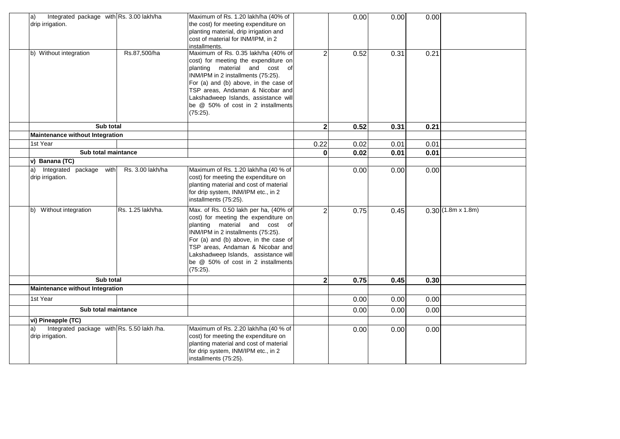| Integrated package with Rs. 3.00 lakh/ha<br>a)<br>drip irrigation.   |                   | Maximum of Rs. 1.20 lakh/ha (40% of<br>the cost) for meeting expenditure on<br>planting material, drip irrigation and<br>cost of material for INM/IPM, in 2<br>installments.                                                                                                                                                |                         | 0.00         | 0.00         | 0.00         |                          |
|----------------------------------------------------------------------|-------------------|-----------------------------------------------------------------------------------------------------------------------------------------------------------------------------------------------------------------------------------------------------------------------------------------------------------------------------|-------------------------|--------------|--------------|--------------|--------------------------|
| b) Without integration                                               | Rs.87,500/ha      | Maximum of Rs. 0.35 lakh/ha (40% of<br>cost) for meeting the expenditure on<br>planting material and cost of<br>INM/IPM in 2 installments (75:25).<br>For (a) and (b) above, in the case of<br>TSP areas, Andaman & Nicobar and<br>Lakshadweep Islands, assistance will<br>be @ 50% of cost in 2 installments<br>(75:25).   | 2                       | 0.52         | 0.31         | 0.21         |                          |
| Sub total                                                            |                   |                                                                                                                                                                                                                                                                                                                             | $\overline{\mathbf{2}}$ | 0.52         | 0.31         | 0.21         |                          |
| <b>Maintenance without Integration</b><br>1st Year                   |                   |                                                                                                                                                                                                                                                                                                                             |                         |              |              |              |                          |
| Sub total maintance                                                  |                   |                                                                                                                                                                                                                                                                                                                             | 0.22<br>0               | 0.02<br>0.02 | 0.01<br>0.01 | 0.01<br>0.01 |                          |
| v) Banana (TC)                                                       |                   |                                                                                                                                                                                                                                                                                                                             |                         |              |              |              |                          |
| a) Integrated package with<br>drip irrigation.                       | Rs. 3.00 lakh/ha  | Maximum of Rs. 1.20 lakh/ha (40 % of<br>cost) for meeting the expenditure on<br>planting material and cost of material<br>for drip system, INM/IPM etc., in 2<br>installments (75:25).                                                                                                                                      |                         | 0.00         | 0.00         | 0.00         |                          |
| b) Without integration                                               | Rs. 1.25 lakh/ha. | Max. of Rs. 0.50 lakh per ha, (40% of<br>cost) for meeting the expenditure on<br>planting material and cost of<br>INM/IPM in 2 installments (75:25).<br>For (a) and (b) above, in the case of<br>TSP areas, Andaman & Nicobar and<br>Lakshadweep Islands, assistance will<br>be @ 50% of cost in 2 installments<br>(75:25). | $\overline{2}$          | 0.75         | 0.45         |              | $0.30(1.8m \times 1.8m)$ |
| Sub total                                                            |                   |                                                                                                                                                                                                                                                                                                                             | $\mathbf{2}$            | 0.75         | 0.45         | 0.30         |                          |
| <b>Maintenance without Integration</b>                               |                   |                                                                                                                                                                                                                                                                                                                             |                         |              |              |              |                          |
| 1st Year                                                             |                   |                                                                                                                                                                                                                                                                                                                             |                         | 0.00         | 0.00         | 0.00         |                          |
| Sub total maintance                                                  |                   |                                                                                                                                                                                                                                                                                                                             |                         | 0.00         | 0.00         | 0.00         |                          |
| vi) Pineapple (TC)                                                   |                   |                                                                                                                                                                                                                                                                                                                             |                         |              |              |              |                          |
| Integrated package with Rs. 5.50 lakh /ha.<br>a)<br>drip irrigation. |                   | Maximum of Rs. 2.20 lakh/ha (40 % of<br>cost) for meeting the expenditure on<br>planting material and cost of material<br>for drip system, INM/IPM etc., in 2<br>installments (75:25).                                                                                                                                      |                         | 0.00         | 0.00         | 0.00         |                          |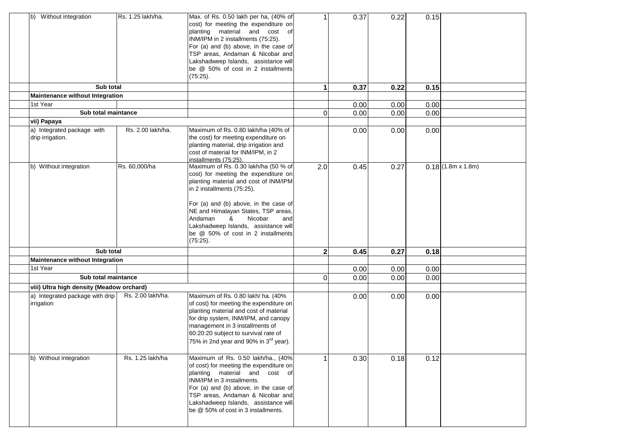| b) Without integration                              | Rs. 1.25 lakh/ha. | Max. of Rs. 0.50 lakh per ha, (40% of<br>cost) for meeting the expenditure on<br>planting material and cost of<br>INM/IPM in 2 installments (75:25).<br>For (a) and (b) above, in the case of<br>TSP areas, Andaman & Nicobar and<br>Lakshadweep Islands, assistance will<br>be @ 50% of cost in 2 installments<br>(75:25).                                     |                | 0.37 | 0.22 | 0.15 |                          |
|-----------------------------------------------------|-------------------|-----------------------------------------------------------------------------------------------------------------------------------------------------------------------------------------------------------------------------------------------------------------------------------------------------------------------------------------------------------------|----------------|------|------|------|--------------------------|
| Sub total<br><b>Maintenance without Integration</b> |                   |                                                                                                                                                                                                                                                                                                                                                                 | 1              | 0.37 | 0.22 | 0.15 |                          |
| 1st Year                                            |                   |                                                                                                                                                                                                                                                                                                                                                                 |                | 0.00 | 0.00 | 0.00 |                          |
| Sub total maintance                                 |                   |                                                                                                                                                                                                                                                                                                                                                                 | $\Omega$       | 0.00 | 0.00 | 0.00 |                          |
| vii) Papaya                                         |                   |                                                                                                                                                                                                                                                                                                                                                                 |                |      |      |      |                          |
| a) Integrated package with<br>drip irrigation.      | Rs. 2.00 lakh/ha. | Maximum of Rs. 0.80 lakh/ha (40% of<br>the cost) for meeting expenditure on<br>planting material, drip irrigation and<br>cost of material for INM/IPM, in 2<br>installments (75:25).                                                                                                                                                                            |                | 0.00 | 0.00 | 0.00 |                          |
| b) Without integration                              | Rs. 60,000/ha     | Maximum of Rs. 0.30 lakh/ha (50 % of<br>cost) for meeting the expenditure on<br>planting material and cost of INM/IPM<br>in 2 installments (75:25).<br>For (a) and (b) above, in the case of<br>NE and Himalayan States, TSP areas,<br>Nicobar<br>Andaman<br>&<br>and<br>Lakshadweep Islands, assistance will<br>be @ 50% of cost in 2 installments<br>(75:25). | 2.0            | 0.45 | 0.27 |      | $0.18(1.8m \times 1.8m)$ |
| Sub total                                           |                   |                                                                                                                                                                                                                                                                                                                                                                 | $\mathbf{2}$   | 0.45 | 0.27 | 0.18 |                          |
| Maintenance without Integration                     |                   |                                                                                                                                                                                                                                                                                                                                                                 |                |      |      |      |                          |
| 1st Year                                            |                   |                                                                                                                                                                                                                                                                                                                                                                 |                | 0.00 | 0.00 | 0.00 |                          |
| Sub total maintance                                 |                   |                                                                                                                                                                                                                                                                                                                                                                 | $\overline{0}$ | 0.00 | 0.00 | 0.00 |                          |
| viii) Ultra high density (Meadow orchard)           |                   |                                                                                                                                                                                                                                                                                                                                                                 |                |      |      |      |                          |
| a) Integrated package with drip<br>irrigation       | Rs. 2.00 lakh/ha. | Maximum of Rs. 0.80 lakh/ ha. (40%<br>of cost) for meeting the expenditure on<br>planting material and cost of material<br>for drip system, INM/IPM, and canopy<br>management in 3 installments of<br>60:20:20 subject to survival rate of<br>75% in 2nd year and 90% in 3 <sup>rd</sup> year).                                                                 |                | 0.00 | 0.00 | 0.00 |                          |
| b) Without integration                              | Rs. 1.25 lakh/ha  | Maximum of Rs. 0.50 lakh/ha., (40%<br>of cost) for meeting the expenditure on<br>planting material and cost of<br>INM/IPM in 3 installments.<br>For (a) and (b) above, in the case of<br>TSP areas, Andaman & Nicobar and<br>Lakshadweep Islands, assistance will<br>be @ 50% of cost in 3 installments.                                                        |                | 0.30 | 0.18 | 0.12 |                          |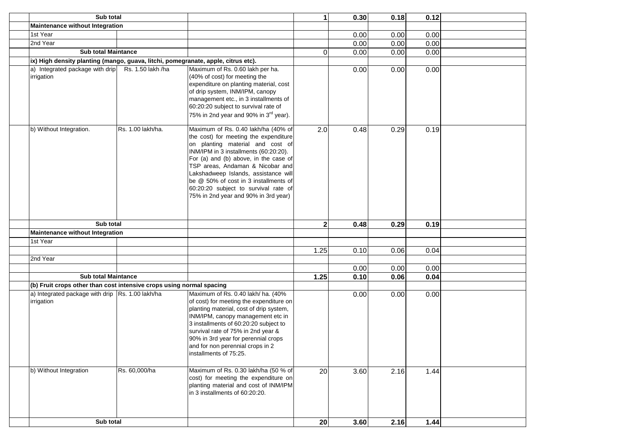| Sub total                                                                         |                   |                                                                                                                                                                                                                                                                                                                                                                                                         | $\mathbf{1}$ | 0.30 | 0.18 | 0.12 |  |
|-----------------------------------------------------------------------------------|-------------------|---------------------------------------------------------------------------------------------------------------------------------------------------------------------------------------------------------------------------------------------------------------------------------------------------------------------------------------------------------------------------------------------------------|--------------|------|------|------|--|
| Maintenance without Integration                                                   |                   |                                                                                                                                                                                                                                                                                                                                                                                                         |              |      |      |      |  |
| 1st Year                                                                          |                   |                                                                                                                                                                                                                                                                                                                                                                                                         |              | 0.00 | 0.00 | 0.00 |  |
| 2nd Year                                                                          |                   |                                                                                                                                                                                                                                                                                                                                                                                                         |              | 0.00 | 0.00 | 0.00 |  |
| <b>Sub total Maintance</b>                                                        |                   |                                                                                                                                                                                                                                                                                                                                                                                                         | 0            | 0.00 | 0.00 | 0.00 |  |
| ix) High density planting (mango, guava, litchi, pomegranate, apple, citrus etc). |                   |                                                                                                                                                                                                                                                                                                                                                                                                         |              |      |      |      |  |
| a) Integrated package with drip                                                   | Rs. 1.50 lakh /ha | Maximum of Rs. 0.60 lakh per ha.                                                                                                                                                                                                                                                                                                                                                                        |              | 0.00 | 0.00 | 0.00 |  |
| irrigation                                                                        |                   | (40% of cost) for meeting the<br>expenditure on planting material, cost<br>of drip system, INM/IPM, canopy<br>management etc., in 3 installments of<br>60:20:20 subject to survival rate of<br>75% in 2nd year and 90% in 3 <sup>rd</sup> year).                                                                                                                                                        |              |      |      |      |  |
| b) Without Integration.                                                           | Rs. 1.00 lakh/ha. | Maximum of Rs. 0.40 lakh/ha (40% of<br>the cost) for meeting the expenditure<br>on planting material and cost of<br>INM/IPM in 3 installments (60:20:20).<br>For (a) and (b) above, in the case of<br>TSP areas, Andaman & Nicobar and<br>Lakshadweep Islands, assistance will<br>be @ 50% of cost in 3 installments of<br>60:20:20 subject to survival rate of<br>75% in 2nd year and 90% in 3rd year) | 2.0          | 0.48 | 0.29 | 0.19 |  |
| Sub total                                                                         |                   |                                                                                                                                                                                                                                                                                                                                                                                                         | $\mathbf{2}$ | 0.48 | 0.29 | 0.19 |  |
| Maintenance without Integration                                                   |                   |                                                                                                                                                                                                                                                                                                                                                                                                         |              |      |      |      |  |
| 1st Year                                                                          |                   |                                                                                                                                                                                                                                                                                                                                                                                                         |              |      |      |      |  |
|                                                                                   |                   |                                                                                                                                                                                                                                                                                                                                                                                                         | 1.25         | 0.10 | 0.06 | 0.04 |  |
| 2nd Year                                                                          |                   |                                                                                                                                                                                                                                                                                                                                                                                                         |              |      |      |      |  |
|                                                                                   |                   |                                                                                                                                                                                                                                                                                                                                                                                                         |              | 0.00 | 0.00 | 0.00 |  |
| <b>Sub total Maintance</b>                                                        |                   |                                                                                                                                                                                                                                                                                                                                                                                                         | 1.25         | 0.10 | 0.06 | 0.04 |  |
| (b) Fruit crops other than cost intensive crops using normal spacing              |                   |                                                                                                                                                                                                                                                                                                                                                                                                         |              |      |      |      |  |
| a) Integrated package with drip Rs. 1.00 lakh/ha<br>irrigation                    |                   | Maximum of Rs. 0.40 lakh/ ha. (40%<br>of cost) for meeting the expenditure on<br>planting material, cost of drip system,<br>INM/IPM, canopy management etc in<br>3 installments of 60:20:20 subject to<br>survival rate of 75% in 2nd year &<br>90% in 3rd year for perennial crops<br>and for non perennial crops in 2<br>installments of 75:25.                                                       |              | 0.00 | 0.00 | 0.00 |  |
| b) Without Integration                                                            | Rs. 60,000/ha     | Maximum of Rs. 0.30 lakh/ha (50 % of<br>cost) for meeting the expenditure on<br>planting material and cost of INM/IPM<br>in 3 installments of 60:20:20.                                                                                                                                                                                                                                                 | 20           | 3.60 | 2.16 | 1.44 |  |
| Sub total                                                                         |                   |                                                                                                                                                                                                                                                                                                                                                                                                         | 20           | 3.60 | 2.16 | 1.44 |  |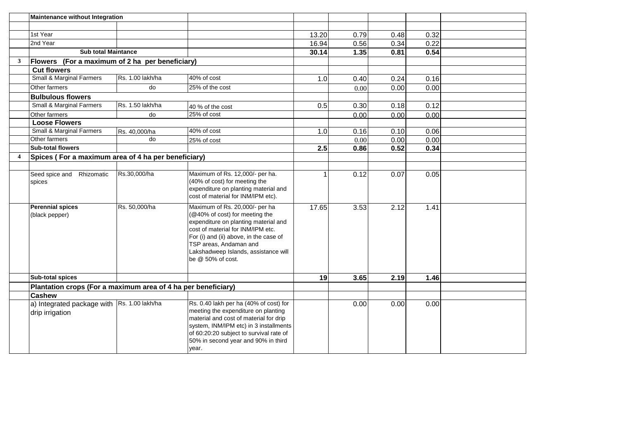|                | Maintenance without Integration                                |                  |                                                                                                                                                                                                                                                                                |       |      |      |      |  |
|----------------|----------------------------------------------------------------|------------------|--------------------------------------------------------------------------------------------------------------------------------------------------------------------------------------------------------------------------------------------------------------------------------|-------|------|------|------|--|
|                |                                                                |                  |                                                                                                                                                                                                                                                                                |       |      |      |      |  |
|                | 1st Year                                                       |                  |                                                                                                                                                                                                                                                                                | 13.20 | 0.79 | 0.48 | 0.32 |  |
|                | 2nd Year                                                       |                  |                                                                                                                                                                                                                                                                                | 16.94 | 0.56 | 0.34 | 0.22 |  |
|                | <b>Sub total Maintance</b>                                     |                  |                                                                                                                                                                                                                                                                                | 30.14 | 1.35 | 0.81 | 0.54 |  |
| 3              | Flowers (For a maximum of 2 ha per beneficiary)                |                  |                                                                                                                                                                                                                                                                                |       |      |      |      |  |
|                | <b>Cut flowers</b>                                             |                  |                                                                                                                                                                                                                                                                                |       |      |      |      |  |
|                | <b>Small &amp; Marginal Farmers</b>                            | Rs. 1.00 lakh/ha | 40% of cost                                                                                                                                                                                                                                                                    | 1.0   | 0.40 | 0.24 | 0.16 |  |
|                | Other farmers                                                  | do               | 25% of the cost                                                                                                                                                                                                                                                                |       | 0.00 | 0.00 | 0.00 |  |
|                | <b>Bulbulous flowers</b>                                       |                  |                                                                                                                                                                                                                                                                                |       |      |      |      |  |
|                | Small & Marginal Farmers                                       | Rs. 1.50 lakh/ha | 40 % of the cost                                                                                                                                                                                                                                                               | 0.5   | 0.30 | 0.18 | 0.12 |  |
|                | Other farmers                                                  | do               | 25% of cost                                                                                                                                                                                                                                                                    |       | 0.00 | 0.00 | 0.00 |  |
|                | <b>Loose Flowers</b>                                           |                  |                                                                                                                                                                                                                                                                                |       |      |      |      |  |
|                | <b>Small &amp; Marginal Farmers</b>                            | Rs. 40,000/ha    | 40% of cost                                                                                                                                                                                                                                                                    | 1.0   | 0.16 | 0.10 | 0.06 |  |
|                | Other farmers                                                  | do               | 25% of cost                                                                                                                                                                                                                                                                    |       | 0.00 | 0.00 | 0.00 |  |
|                | <b>Sub-total flowers</b>                                       |                  |                                                                                                                                                                                                                                                                                | 2.5   | 0.86 | 0.52 | 0.34 |  |
| $\overline{4}$ | Spices (For a maximum area of 4 ha per beneficiary)            |                  |                                                                                                                                                                                                                                                                                |       |      |      |      |  |
|                |                                                                |                  |                                                                                                                                                                                                                                                                                |       |      |      |      |  |
|                | Seed spice and Rhizomatic<br>spices                            | Rs.30,000/ha     | Maximum of Rs. 12,000/- per ha.<br>(40% of cost) for meeting the<br>expenditure on planting material and<br>cost of material for INM/IPM etc).                                                                                                                                 |       | 0.12 | 0.07 | 0.05 |  |
|                | <b>Perennial spices</b><br>(black pepper)                      | Rs. 50,000/ha    | Maximum of Rs. 20,000/- per ha<br>(@40% of cost) for meeting the<br>expenditure on planting material and<br>cost of material for INM/IPM etc.<br>For (i) and (ii) above, in the case of<br>TSP areas, Andaman and<br>Lakshadweep Islands, assistance will<br>be @ 50% of cost. | 17.65 | 3.53 | 2.12 | 1.41 |  |
|                | <b>Sub-total spices</b>                                        |                  |                                                                                                                                                                                                                                                                                | 19    | 3.65 | 2.19 | 1.46 |  |
|                | Plantation crops (For a maximum area of 4 ha per beneficiary)  |                  |                                                                                                                                                                                                                                                                                |       |      |      |      |  |
|                | <b>Cashew</b>                                                  |                  |                                                                                                                                                                                                                                                                                |       |      |      |      |  |
|                | a) Integrated package with Rs. 1.00 lakh/ha<br>drip irrigation |                  | Rs. 0.40 lakh per ha (40% of cost) for<br>meeting the expenditure on planting<br>material and cost of material for drip<br>system, INM/IPM etc) in 3 installments<br>of 60:20:20 subject to survival rate of<br>50% in second year and 90% in third<br>year.                   |       | 0.00 | 0.00 | 0.00 |  |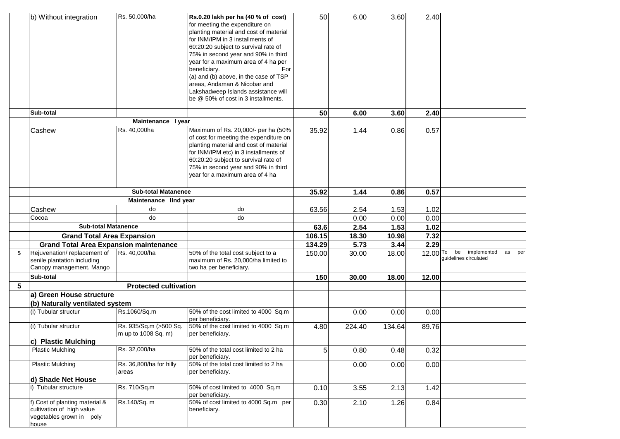|   | b) Without integration                        | Rs. 50,000/ha                | Rs.0.20 lakh per ha (40 % of cost)                                  | 50     | 6.00   | 3.60   | 2.40       |                                |
|---|-----------------------------------------------|------------------------------|---------------------------------------------------------------------|--------|--------|--------|------------|--------------------------------|
|   |                                               |                              | for meeting the expenditure on                                      |        |        |        |            |                                |
|   |                                               |                              | planting material and cost of material                              |        |        |        |            |                                |
|   |                                               |                              | for INM/IPM in 3 installments of                                    |        |        |        |            |                                |
|   |                                               |                              | 60:20:20 subject to survival rate of                                |        |        |        |            |                                |
|   |                                               |                              | 75% in second year and 90% in third                                 |        |        |        |            |                                |
|   |                                               |                              | year for a maximum area of 4 ha per                                 |        |        |        |            |                                |
|   |                                               |                              | beneficiary.<br>For                                                 |        |        |        |            |                                |
|   |                                               |                              | (a) and (b) above, in the case of TSP                               |        |        |        |            |                                |
|   |                                               |                              | areas, Andaman & Nicobar and<br>Lakshadweep Islands assistance will |        |        |        |            |                                |
|   |                                               |                              | be @ 50% of cost in 3 installments.                                 |        |        |        |            |                                |
|   |                                               |                              |                                                                     |        |        |        |            |                                |
|   | Sub-total                                     |                              |                                                                     | 50     | 6.00   | 3.60   | 2.40       |                                |
|   |                                               | Maintenance I year           |                                                                     |        |        |        |            |                                |
|   | Cashew                                        | Rs. 40,000ha                 | Maximum of Rs. 20,000/- per ha (50%                                 | 35.92  | 1.44   | 0.86   | 0.57       |                                |
|   |                                               |                              | of cost for meeting the expenditure on                              |        |        |        |            |                                |
|   |                                               |                              | planting material and cost of material                              |        |        |        |            |                                |
|   |                                               |                              | for INM/IPM etc) in 3 installments of                               |        |        |        |            |                                |
|   |                                               |                              | 60:20:20 subject to survival rate of                                |        |        |        |            |                                |
|   |                                               |                              | 75% in second year and 90% in third                                 |        |        |        |            |                                |
|   |                                               |                              | year for a maximum area of 4 ha                                     |        |        |        |            |                                |
|   |                                               | <b>Sub-total Matanence</b>   |                                                                     | 35.92  | 1.44   | 0.86   | 0.57       |                                |
|   |                                               | Maintenance IInd year        |                                                                     |        |        |        |            |                                |
|   | Cashew                                        | do                           | do                                                                  | 63.56  | 2.54   | 1.53   | 1.02       |                                |
|   | Cocoa                                         | do                           | do                                                                  |        | 0.00   | 0.00   | 0.00       |                                |
|   | Sub-total Matanence                           |                              |                                                                     | 63.6   | 2.54   | 1.53   | 1.02       |                                |
|   | <b>Grand Total Area Expansion</b>             |                              |                                                                     | 106.15 | 18.30  | 10.98  | 7.32       |                                |
|   | <b>Grand Total Area Expansion maintenance</b> |                              |                                                                     | 134.29 | 5.73   | 3.44   | 2.29       |                                |
| 5 | Rejuvenation/replacement of                   | Rs. 40,000/ha                | 50% of the total cost subject to a                                  | 150.00 | 30.00  | 18.00  | $12.00$ To | be<br>implemented<br>as<br>per |
|   | senile plantation including                   |                              | maximum of Rs. 20,000/ha limited to                                 |        |        |        |            | guidelines circulated          |
|   | Canopy management. Mango                      |                              | two ha per beneficiary.                                             |        |        |        |            |                                |
|   | Sub-total                                     |                              |                                                                     | 150    | 30.00  | 18.00  | 12.00      |                                |
| 5 |                                               | <b>Protected cultivation</b> |                                                                     |        |        |        |            |                                |
|   | a) Green House structure                      |                              |                                                                     |        |        |        |            |                                |
|   | (b) Naturally ventilated system               |                              |                                                                     |        |        |        |            |                                |
|   | (i) Tubular structur                          | Rs.1060/Sq.m                 | 50% of the cost limited to 4000 Sq.m                                |        | 0.00   | 0.00   | 0.00       |                                |
|   |                                               |                              | per beneficiarv.                                                    |        |        |        |            |                                |
|   | (i) Tubular structur                          | Rs. 935/Sq.m (>500 Sq.       | 50% of the cost limited to 4000 Sq.m                                | 4.80   | 224.40 | 134.64 | 89.76      |                                |
|   |                                               | m up to 1008 Sq. m)          | per beneficiary.                                                    |        |        |        |            |                                |
|   | c) Plastic Mulching                           | Rs. 32,000/ha                |                                                                     |        |        |        |            |                                |
|   | <b>Plastic Mulching</b>                       |                              | 50% of the total cost limited to 2 ha<br>per beneficiary.           | 5      | 0.80   | 0.48   | 0.32       |                                |
|   | <b>Plastic Mulching</b>                       | Rs. 36,800/ha for hilly      | 50% of the total cost limited to 2 ha                               |        | 0.00   | 0.00   | 0.00       |                                |
|   |                                               | areas                        | per beneficiary.                                                    |        |        |        |            |                                |
|   | d) Shade Net House                            |                              |                                                                     |        |        |        |            |                                |
|   | i) Tubular structure                          | Rs. 710/Sq.m                 | 50% of cost limited to 4000 Sq.m<br>per beneficiary.                | 0.10   | 3.55   | 2.13   | 1.42       |                                |
|   | f) Cost of planting material &                | Rs.140/Sq. m                 | 50% of cost limited to 4000 Sq.m per                                | 0.30   | 2.10   | 1.26   | 0.84       |                                |
|   | cultivation of high value                     |                              | beneficiary.                                                        |        |        |        |            |                                |
|   | vegetables grown in poly                      |                              |                                                                     |        |        |        |            |                                |
|   | house                                         |                              |                                                                     |        |        |        |            |                                |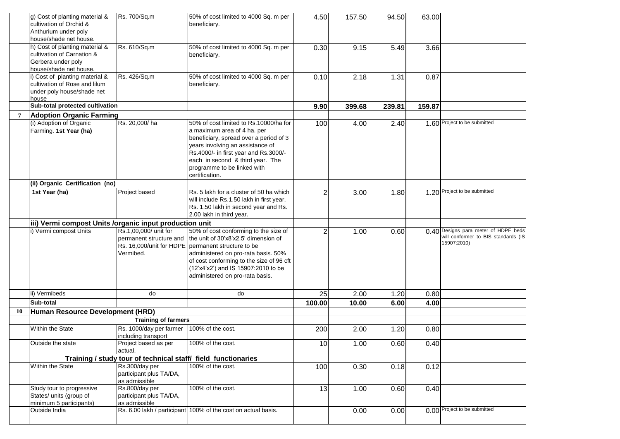|    | g) Cost of planting material &<br>cultivation of Orchid &<br>Anthurium under poly<br>house/shade net house.  | Rs. 700/Sq.m                                                  | 50% of cost limited to 4000 Sq. m per<br>beneficiary.                                                                                                                                                                                                                                              | 4.50           | 157.50 | 94.50  | 63.00  |                                                                                            |
|----|--------------------------------------------------------------------------------------------------------------|---------------------------------------------------------------|----------------------------------------------------------------------------------------------------------------------------------------------------------------------------------------------------------------------------------------------------------------------------------------------------|----------------|--------|--------|--------|--------------------------------------------------------------------------------------------|
|    | h) Cost of planting material &<br>cultivation of Carnation &<br>Gerbera under poly<br>house/shade net house. | Rs. 610/Sq.m                                                  | 50% of cost limited to 4000 Sq. m per<br>beneficiary.                                                                                                                                                                                                                                              | 0.30           | 9.15   | 5.49   | 3.66   |                                                                                            |
|    | i) Cost of planting material &<br>cultivation of Rose and lilum<br>under poly house/shade net<br>house       | Rs. 426/Sq.m                                                  | 50% of cost limited to 4000 Sq. m per<br>beneficiary.                                                                                                                                                                                                                                              | 0.10           | 2.18   | 1.31   | 0.87   |                                                                                            |
|    | Sub-total protected cultivation                                                                              |                                                               |                                                                                                                                                                                                                                                                                                    | 9.90           | 399.68 | 239.81 | 159.87 |                                                                                            |
| 7  | <b>Adoption Organic Farming</b>                                                                              |                                                               |                                                                                                                                                                                                                                                                                                    |                |        |        |        |                                                                                            |
|    | (i) Adoption of Organic<br>Farming. 1st Year (ha)                                                            | Rs. 20,000/ha                                                 | 50% of cost limited to Rs.10000/ha for<br>a maximum area of 4 ha. per<br>beneficiary, spread over a period of 3<br>years involving an assistance of<br>Rs.4000/- in first year and Rs.3000/-<br>each in second & third year. The<br>programme to be linked with<br>certification.                  | 100            | 4.00   | 2.40   |        | 1.60 Project to be submitted                                                               |
|    | (ii) Organic Certification (no)                                                                              |                                                               |                                                                                                                                                                                                                                                                                                    |                |        |        |        |                                                                                            |
|    | 1st Year (ha)                                                                                                | Project based                                                 | Rs. 5 lakh for a cluster of 50 ha which<br>will include Rs.1.50 lakh in first year,<br>Rs. 1.50 lakh in second year and Rs.<br>2.00 lakh in third year.                                                                                                                                            | 2              | 3.00   | 1.80   |        | 1.20 Project to be submitted                                                               |
|    | iii) Vermi compost Units /organic input production unit                                                      |                                                               |                                                                                                                                                                                                                                                                                                    |                |        |        |        |                                                                                            |
|    | i) Vermi compost Units                                                                                       | Rs.1,00,000/ unit for<br>permanent structure and<br>Vermibed. | 50% of cost conforming to the size of<br>the unit of 30'x8'x2.5' dimension of<br>Rs. 16,000/unit for HDPE   permanent structure to be<br>administered on pro-rata basis. 50%<br>of cost conforming to the size of 96 cft<br>(12'x4'x2') and IS 15907:2010 to be<br>administered on pro-rata basis. | $\overline{c}$ | 1.00   | 0.60   |        | 0.40 Designs para meter of HDPE beds<br>will conformer to BIS standards (IS<br>15907:2010) |
|    | ii) Vermibeds                                                                                                | do                                                            | do                                                                                                                                                                                                                                                                                                 | 25             | 2.00   | 1.20   | 0.80   |                                                                                            |
|    | Sub-total                                                                                                    |                                                               |                                                                                                                                                                                                                                                                                                    | 100.00         | 10.00  | 6.00   | 4.00   |                                                                                            |
| 10 | Human Resource Development (HRD)                                                                             |                                                               |                                                                                                                                                                                                                                                                                                    |                |        |        |        |                                                                                            |
|    |                                                                                                              | <b>Training of farmers</b>                                    |                                                                                                                                                                                                                                                                                                    |                |        |        |        |                                                                                            |
|    | Within the State                                                                                             | Rs. 1000/day per farmer<br>including transport                | 100% of the cost.                                                                                                                                                                                                                                                                                  | 200            | 2.00   | 1.20   | 0.80   |                                                                                            |
|    | Outside the state                                                                                            | Project based as per<br>actual.                               | 100% of the cost.                                                                                                                                                                                                                                                                                  | 10             | 1.00   | 0.60   | 0.40   |                                                                                            |
|    |                                                                                                              | Training / study tour of technical staff/ field functionaries |                                                                                                                                                                                                                                                                                                    |                |        |        |        |                                                                                            |
|    | Within the State                                                                                             | Rs.300/day per<br>participant plus TA/DA,<br>as admissible    | 100% of the cost.                                                                                                                                                                                                                                                                                  | 100            | 0.30   | 0.18   | 0.12   |                                                                                            |
|    | Study tour to progressive<br>States/ units (group of<br>minimum 5 participants)                              | Rs.800/day per<br>participant plus TA/DA,<br>as admissible    | 100% of the cost.                                                                                                                                                                                                                                                                                  | 13             | 1.00   | 0.60   | 0.40   |                                                                                            |
|    | Outside India                                                                                                |                                                               | Rs. 6.00 lakh / participant 100% of the cost on actual basis.                                                                                                                                                                                                                                      |                | 0.00   | 0.00   |        | 0.00 Project to be submitted                                                               |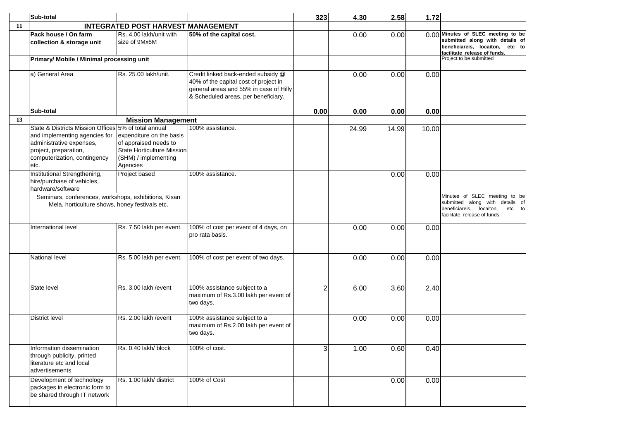|    | Sub-total                                                                                                                                                                          |                                                                                                                            |                                                                                                                                                              | 323            | 4.30  | 2.58  | 1.72  |                                                                                                                                           |
|----|------------------------------------------------------------------------------------------------------------------------------------------------------------------------------------|----------------------------------------------------------------------------------------------------------------------------|--------------------------------------------------------------------------------------------------------------------------------------------------------------|----------------|-------|-------|-------|-------------------------------------------------------------------------------------------------------------------------------------------|
| 11 |                                                                                                                                                                                    | INTEGRATED POST HARVEST MANAGEMENT                                                                                         |                                                                                                                                                              |                |       |       |       |                                                                                                                                           |
|    | Pack house / On farm<br>collection & storage unit                                                                                                                                  | Rs. 4.00 lakh/unit with<br>size of 9Mx6M                                                                                   | 50% of the capital cost.                                                                                                                                     |                | 0.00  | 0.00  |       | 0.00 Minutes of SLEC meeting to be<br>submitted along with details of<br>beneficiareis, locaiton, etc to<br>facilitate release of funds.  |
|    | Primary/ Mobile / Minimal processing unit                                                                                                                                          |                                                                                                                            |                                                                                                                                                              |                |       |       |       | Project to be submitted                                                                                                                   |
|    | a) General Area                                                                                                                                                                    | Rs. 25.00 lakh/unit.                                                                                                       | Credit linked back-ended subsidy @<br>40% of the capital cost of project in<br>general areas and 55% in case of Hilly<br>& Scheduled areas, per beneficiary. |                | 0.00  | 0.00  | 0.00  |                                                                                                                                           |
|    | Sub-total                                                                                                                                                                          |                                                                                                                            |                                                                                                                                                              | 0.00           | 0.00  | 0.00  | 0.00  |                                                                                                                                           |
| 13 |                                                                                                                                                                                    | <b>Mission Management</b>                                                                                                  |                                                                                                                                                              |                |       |       |       |                                                                                                                                           |
|    | State & Districts Mission Offices 5% of total annual<br>and implementing agencies for<br>administrative expenses,<br>project, preparation,<br>computerization, contingency<br>etc. | expenditure on the basis<br>of appraised needs to<br><b>State Horticulture Mission</b><br>(SHM) / implementing<br>Agencies | 100% assistance.                                                                                                                                             |                | 24.99 | 14.99 | 10.00 |                                                                                                                                           |
|    | Institutional Strengthening,<br>hire/purchase of vehicles,<br>hardware/software                                                                                                    | Project based                                                                                                              | 100% assistance.                                                                                                                                             |                |       | 0.00  | 0.00  |                                                                                                                                           |
|    | Seminars, conferences, workshops, exhibitions, Kisan<br>Mela, horticulture shows, honey festivals etc.                                                                             |                                                                                                                            |                                                                                                                                                              |                |       |       |       | Minutes of SLEC meeting to be<br>submitted along with details of<br>beneficiareis,<br>locaiton,<br>etc to<br>facilitate release of funds. |
|    | International level                                                                                                                                                                | Rs. 7.50 lakh per event.                                                                                                   | 100% of cost per event of 4 days, on<br>pro rata basis.                                                                                                      |                | 0.00  | 0.00  | 0.00  |                                                                                                                                           |
|    | National level                                                                                                                                                                     | Rs. 5.00 lakh per event.                                                                                                   | 100% of cost per event of two days.                                                                                                                          |                | 0.00  | 0.00  | 0.00  |                                                                                                                                           |
|    | State level                                                                                                                                                                        | Rs. 3.00 lakh / event                                                                                                      | 100% assistance subject to a<br>maximum of Rs.3.00 lakh per event of<br>two days.                                                                            | $\mathfrak{p}$ | 6.00  | 3.60  | 2.40  |                                                                                                                                           |
|    | District level                                                                                                                                                                     | Rs. 2.00 lakh / event                                                                                                      | 100% assistance subject to a<br>maximum of Rs.2.00 lakh per event of<br>two days.                                                                            |                | 0.00  | 0.00  | 0.00  |                                                                                                                                           |
|    | Information dissemination<br>through publicity, printed<br>literature etc and local<br>advertisements                                                                              | Rs. 0.40 lakh/ block                                                                                                       | 100% of cost.                                                                                                                                                | 3 <sup>1</sup> | 1.00  | 0.60  | 0.40  |                                                                                                                                           |
|    | Development of technology<br>packages in electronic form to<br>be shared through IT network                                                                                        | Rs. 1.00 lakh/ district                                                                                                    | 100% of Cost                                                                                                                                                 |                |       | 0.00  | 0.00  |                                                                                                                                           |